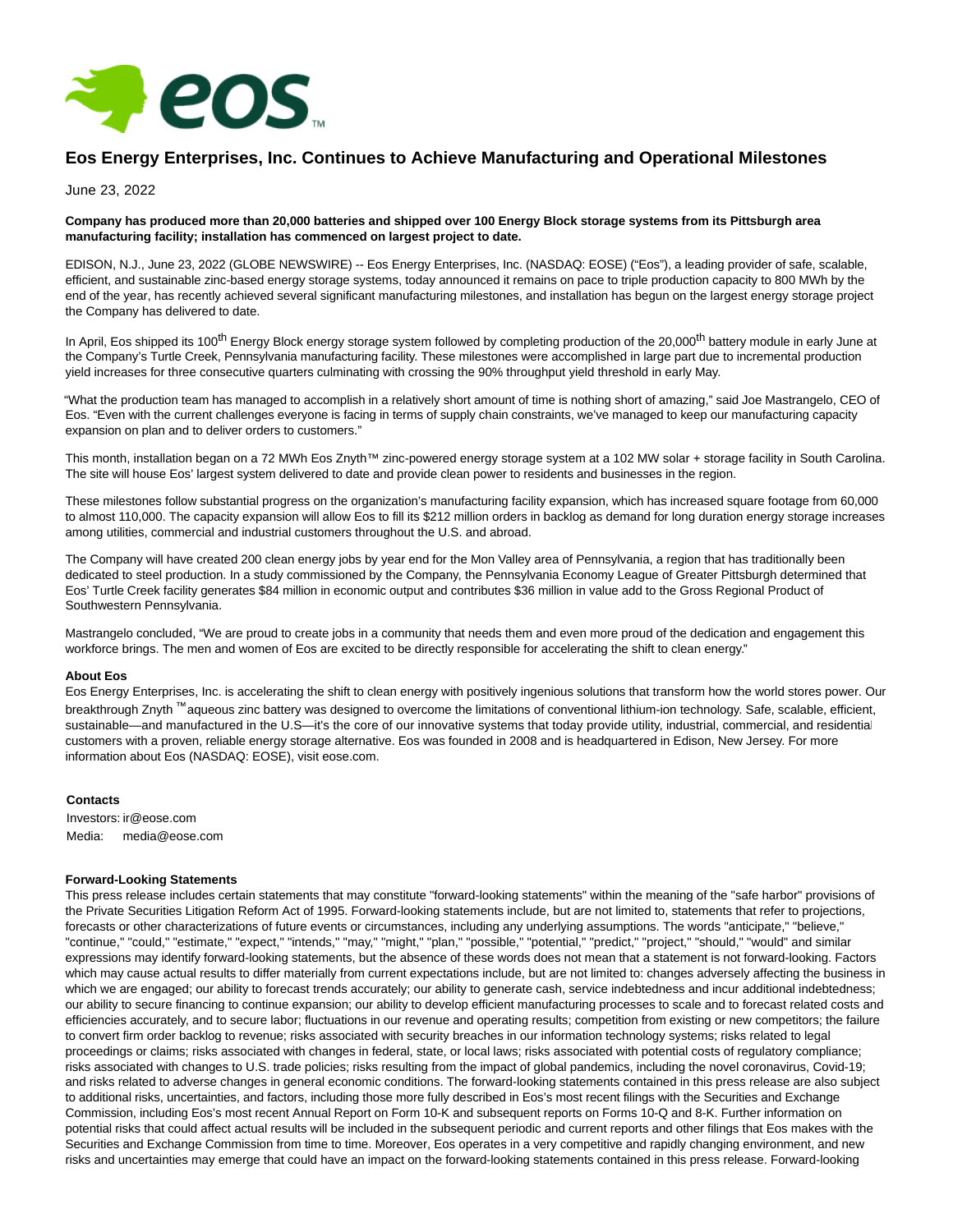

# **Eos Energy Enterprises, Inc. Continues to Achieve Manufacturing and Operational Milestones**

June 23, 2022

## **Company has produced more than 20,000 batteries and shipped over 100 Energy Block storage systems from its Pittsburgh area manufacturing facility; installation has commenced on largest project to date.**

EDISON, N.J., June 23, 2022 (GLOBE NEWSWIRE) -- Eos Energy Enterprises, Inc. (NASDAQ: EOSE) ("Eos"), a leading provider of safe, scalable, efficient, and sustainable zinc-based energy storage systems, today announced it remains on pace to triple production capacity to 800 MWh by the end of the year, has recently achieved several significant manufacturing milestones, and installation has begun on the largest energy storage project the Company has delivered to date.

In April, Eos shipped its 100<sup>th</sup> Energy Block energy storage system followed by completing production of the 20,000<sup>th</sup> battery module in early June at the Company's Turtle Creek, Pennsylvania manufacturing facility. These milestones were accomplished in large part due to incremental production yield increases for three consecutive quarters culminating with crossing the 90% throughput yield threshold in early May.

"What the production team has managed to accomplish in a relatively short amount of time is nothing short of amazing," said Joe Mastrangelo, CEO of Eos. "Even with the current challenges everyone is facing in terms of supply chain constraints, we've managed to keep our manufacturing capacity expansion on plan and to deliver orders to customers."

This month, installation began on a 72 MWh Eos Znyth™ zinc-powered energy storage system at a 102 MW solar + storage facility in South Carolina. The site will house Eos' largest system delivered to date and provide clean power to residents and businesses in the region.

These milestones follow substantial progress on the organization's manufacturing facility expansion, which has increased square footage from 60,000 to almost 110,000. The capacity expansion will allow Eos to fill its \$212 million orders in backlog as demand for long duration energy storage increases among utilities, commercial and industrial customers throughout the U.S. and abroad.

The Company will have created 200 clean energy jobs by year end for the Mon Valley area of Pennsylvania, a region that has traditionally been dedicated to steel production. In a study commissioned by the Company, the Pennsylvania Economy League of Greater Pittsburgh determined that Eos' Turtle Creek facility generates \$84 million in economic output and contributes \$36 million in value add to the Gross Regional Product of Southwestern Pennsylvania.

Mastrangelo concluded, "We are proud to create jobs in a community that needs them and even more proud of the dedication and engagement this workforce brings. The men and women of Eos are excited to be directly responsible for accelerating the shift to clean energy."

#### **About Eos**

Eos Energy Enterprises, Inc. is accelerating the shift to clean energy with positively ingenious solutions that transform how the world stores power. Our breakthrough Znyth ™ aqueous zinc battery was designed to overcome the limitations of conventional lithium-ion technology. Safe, scalable, efficient, sustainable—and manufactured in the U.S—it's the core of our innovative systems that today provide utility, industrial, commercial, and residential customers with a proven, reliable energy storage alternative. Eos was founded in 2008 and is headquartered in Edison, New Jersey. For more information about Eos (NASDAQ: EOSE), visit eose.com.

#### **Contacts**

Investors: ir@eose.com Media: media@eose.com

### **Forward-Looking Statements**

This press release includes certain statements that may constitute "forward-looking statements" within the meaning of the "safe harbor" provisions of the Private Securities Litigation Reform Act of 1995. Forward-looking statements include, but are not limited to, statements that refer to projections, forecasts or other characterizations of future events or circumstances, including any underlying assumptions. The words "anticipate," "believe," "continue," "could," "estimate," "expect," "intends," "may," "might," "plan," "possible," "potential," "predict," "project," "should," "would" and similar expressions may identify forward-looking statements, but the absence of these words does not mean that a statement is not forward-looking. Factors which may cause actual results to differ materially from current expectations include, but are not limited to: changes adversely affecting the business in which we are engaged; our ability to forecast trends accurately; our ability to generate cash, service indebtedness and incur additional indebtedness; our ability to secure financing to continue expansion; our ability to develop efficient manufacturing processes to scale and to forecast related costs and efficiencies accurately, and to secure labor; fluctuations in our revenue and operating results; competition from existing or new competitors; the failure to convert firm order backlog to revenue; risks associated with security breaches in our information technology systems; risks related to legal proceedings or claims; risks associated with changes in federal, state, or local laws; risks associated with potential costs of regulatory compliance; risks associated with changes to U.S. trade policies; risks resulting from the impact of global pandemics, including the novel coronavirus, Covid-19; and risks related to adverse changes in general economic conditions. The forward-looking statements contained in this press release are also subject to additional risks, uncertainties, and factors, including those more fully described in Eos's most recent filings with the Securities and Exchange Commission, including Eos's most recent Annual Report on Form 10-K and subsequent reports on Forms 10-Q and 8-K. Further information on potential risks that could affect actual results will be included in the subsequent periodic and current reports and other filings that Eos makes with the Securities and Exchange Commission from time to time. Moreover, Eos operates in a very competitive and rapidly changing environment, and new risks and uncertainties may emerge that could have an impact on the forward-looking statements contained in this press release. Forward-looking